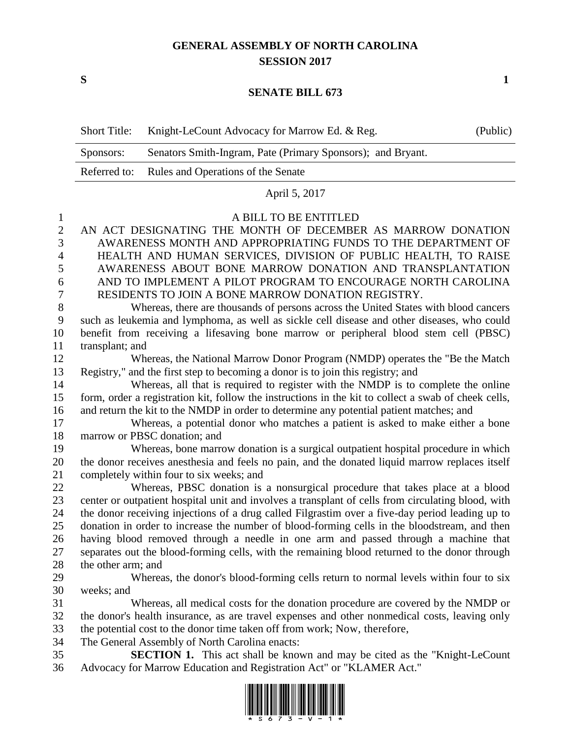## **GENERAL ASSEMBLY OF NORTH CAROLINA SESSION 2017**

**S 1**

## **SENATE BILL 673**

|              | <b>Short Title:</b>                                                                                             | Knight-LeCount Advocacy for Marrow Ed. & Reg.                                                                                                              | (Public) |  |
|--------------|-----------------------------------------------------------------------------------------------------------------|------------------------------------------------------------------------------------------------------------------------------------------------------------|----------|--|
|              | Sponsors:                                                                                                       | Senators Smith-Ingram, Pate (Primary Sponsors); and Bryant.                                                                                                |          |  |
|              | Referred to:                                                                                                    | Rules and Operations of the Senate                                                                                                                         |          |  |
|              | April 5, 2017                                                                                                   |                                                                                                                                                            |          |  |
| $\mathbf{1}$ | A BILL TO BE ENTITLED                                                                                           |                                                                                                                                                            |          |  |
| $\mathbf{2}$ | AN ACT DESIGNATING THE MONTH OF DECEMBER AS MARROW DONATION                                                     |                                                                                                                                                            |          |  |
| 3            | AWARENESS MONTH AND APPROPRIATING FUNDS TO THE DEPARTMENT OF                                                    |                                                                                                                                                            |          |  |
| 4            | HEALTH AND HUMAN SERVICES, DIVISION OF PUBLIC HEALTH, TO RAISE                                                  |                                                                                                                                                            |          |  |
| 5            | AWARENESS ABOUT BONE MARROW DONATION AND TRANSPLANTATION                                                        |                                                                                                                                                            |          |  |
| 6            | AND TO IMPLEMENT A PILOT PROGRAM TO ENCOURAGE NORTH CAROLINA                                                    |                                                                                                                                                            |          |  |
| $\tau$       | RESIDENTS TO JOIN A BONE MARROW DONATION REGISTRY.                                                              |                                                                                                                                                            |          |  |
| $8\,$        | Whereas, there are thousands of persons across the United States with blood cancers                             |                                                                                                                                                            |          |  |
| 9            | such as leukemia and lymphoma, as well as sickle cell disease and other diseases, who could                     |                                                                                                                                                            |          |  |
| 10           | benefit from receiving a lifesaving bone marrow or peripheral blood stem cell (PBSC)                            |                                                                                                                                                            |          |  |
| 11           | transplant; and                                                                                                 |                                                                                                                                                            |          |  |
| 12           | Whereas, the National Marrow Donor Program (NMDP) operates the "Be the Match                                    |                                                                                                                                                            |          |  |
| 13           | Registry," and the first step to becoming a donor is to join this registry; and                                 |                                                                                                                                                            |          |  |
| 14           | Whereas, all that is required to register with the NMDP is to complete the online                               |                                                                                                                                                            |          |  |
| 15           | form, order a registration kit, follow the instructions in the kit to collect a swab of cheek cells,            |                                                                                                                                                            |          |  |
| 16<br>17     | and return the kit to the NMDP in order to determine any potential patient matches; and                         |                                                                                                                                                            |          |  |
| 18           | Whereas, a potential donor who matches a patient is asked to make either a bone<br>marrow or PBSC donation; and |                                                                                                                                                            |          |  |
| 19           | Whereas, bone marrow donation is a surgical outpatient hospital procedure in which                              |                                                                                                                                                            |          |  |
| 20           | the donor receives anesthesia and feels no pain, and the donated liquid marrow replaces itself                  |                                                                                                                                                            |          |  |
| 21           | completely within four to six weeks; and                                                                        |                                                                                                                                                            |          |  |
| 22           | Whereas, PBSC donation is a nonsurgical procedure that takes place at a blood                                   |                                                                                                                                                            |          |  |
| 23           | center or outpatient hospital unit and involves a transplant of cells from circulating blood, with              |                                                                                                                                                            |          |  |
| 24           |                                                                                                                 | the donor receiving injections of a drug called Filgrastim over a five-day period leading up to                                                            |          |  |
| 25           |                                                                                                                 | donation in order to increase the number of blood-forming cells in the bloodstream, and then                                                               |          |  |
| 26           |                                                                                                                 | having blood removed through a needle in one arm and passed through a machine that                                                                         |          |  |
| 27           |                                                                                                                 | separates out the blood-forming cells, with the remaining blood returned to the donor through                                                              |          |  |
| 28           | the other arm; and                                                                                              |                                                                                                                                                            |          |  |
| 29           |                                                                                                                 | Whereas, the donor's blood-forming cells return to normal levels within four to six                                                                        |          |  |
| 30           | weeks; and                                                                                                      |                                                                                                                                                            |          |  |
| 31           |                                                                                                                 | Whereas, all medical costs for the donation procedure are covered by the NMDP or                                                                           |          |  |
| 32           | the donor's health insurance, as are travel expenses and other nonmedical costs, leaving only                   |                                                                                                                                                            |          |  |
| 33           | the potential cost to the donor time taken off from work; Now, therefore,                                       |                                                                                                                                                            |          |  |
| 34           | The General Assembly of North Carolina enacts:                                                                  |                                                                                                                                                            |          |  |
| 35<br>36     |                                                                                                                 | <b>SECTION 1.</b> This act shall be known and may be cited as the "Knight-LeCount"<br>Advocacy for Marrow Education and Registration Act" or "KLAMER Act." |          |  |
|              |                                                                                                                 |                                                                                                                                                            |          |  |